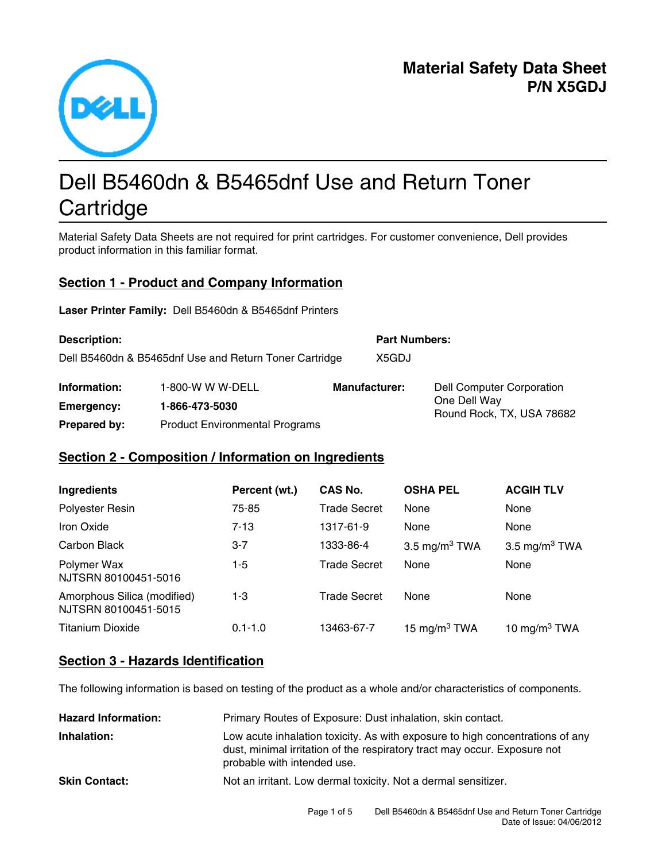

# Dell B5460dn & B5465dnf Use and Return Toner **Cartridge**

Material Safety Data Sheets are not required for print cartridges. For customer convenience, Dell provides product information in this familiar format.

## **Section 1 - Product and Company Information**

Laser Printer Family: Dell B5460dn & B5465dnf Printers

| <b>Description:</b>                                    |                                       | <b>Part Numbers:</b> |                                           |
|--------------------------------------------------------|---------------------------------------|----------------------|-------------------------------------------|
| Dell B5460dn & B5465dnf Use and Return Toner Cartridge |                                       | X5GDJ                |                                           |
| Information:                                           | 1-800-W W W-DELL                      | <b>Manufacturer:</b> | <b>Dell Computer Corporation</b>          |
| Emergency:                                             | 1-866-473-5030                        |                      | One Dell Way<br>Round Rock, TX, USA 78682 |
| <b>Prepared by:</b>                                    | <b>Product Environmental Programs</b> |                      |                                           |

#### **Section 2 - Composition / Information on Ingredients**

| Ingredients                                         | Percent (wt.) | CAS No.             | <b>OSHA PEL</b>  | <b>ACGIH TLV</b>          |
|-----------------------------------------------------|---------------|---------------------|------------------|---------------------------|
| Polyester Resin                                     | 75-85         | <b>Trade Secret</b> | None             | None                      |
| Iron Oxide                                          | $7-13$        | 1317-61-9           | None             | None                      |
| Carbon Black                                        | $3 - 7$       | 1333-86-4           | 3.5 mg/m $3$ TWA | 3.5 mg/m <sup>3</sup> TWA |
| Polymer Wax<br>NJTSRN 80100451-5016                 | $1-5$         | <b>Trade Secret</b> | None             | None                      |
| Amorphous Silica (modified)<br>NJTSRN 80100451-5015 | 1-3           | <b>Trade Secret</b> | None             | None                      |
| <b>Titanium Dioxide</b>                             | $0.1 - 1.0$   | 13463-67-7          | 15 mg/m $3$ TWA  | 10 mg/m $3$ TWA           |

#### **Section 3 - Hazards Identification**

The following information is based on testing of the product as a whole and/or characteristics of components.

| <b>Hazard Information:</b> | Primary Routes of Exposure: Dust inhalation, skin contact.                                                                                                                                |
|----------------------------|-------------------------------------------------------------------------------------------------------------------------------------------------------------------------------------------|
| Inhalation:                | Low acute inhalation toxicity. As with exposure to high concentrations of any<br>dust, minimal irritation of the respiratory tract may occur. Exposure not<br>probable with intended use. |
| <b>Skin Contact:</b>       | Not an irritant. Low dermal toxicity. Not a dermal sensitizer.                                                                                                                            |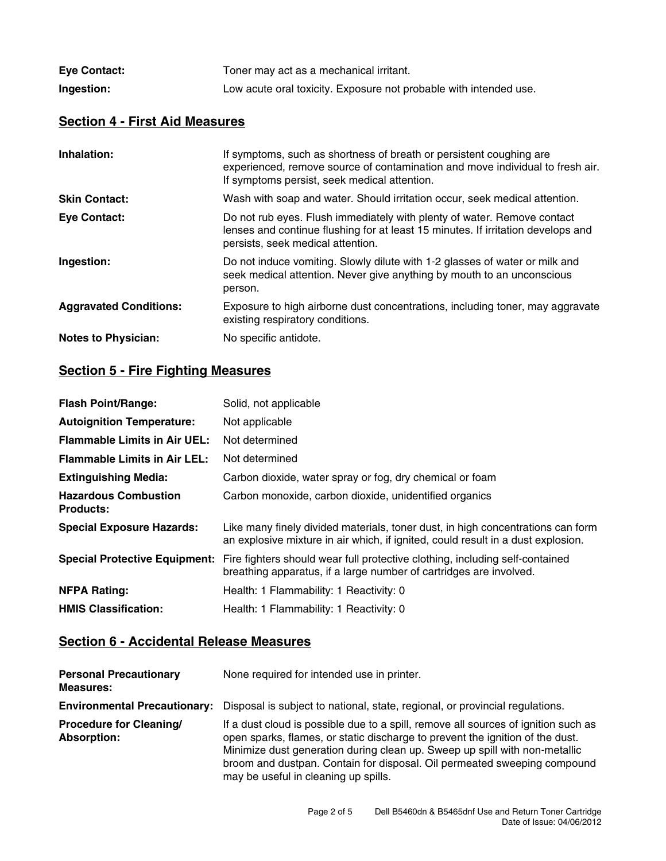| <b>Eye Contact:</b> | Toner may act as a mechanical irritant.                           |
|---------------------|-------------------------------------------------------------------|
| Ingestion:          | Low acute oral toxicity. Exposure not probable with intended use. |

## **Section 4 - First Aid Measures**

| Inhalation:                   | If symptoms, such as shortness of breath or persistent coughing are<br>experienced, remove source of contamination and move individual to fresh air.<br>If symptoms persist, seek medical attention. |
|-------------------------------|------------------------------------------------------------------------------------------------------------------------------------------------------------------------------------------------------|
| <b>Skin Contact:</b>          | Wash with soap and water. Should irritation occur, seek medical attention.                                                                                                                           |
| <b>Eye Contact:</b>           | Do not rub eyes. Flush immediately with plenty of water. Remove contact<br>lenses and continue flushing for at least 15 minutes. If irritation develops and<br>persists, seek medical attention.     |
| Ingestion:                    | Do not induce vomiting. Slowly dilute with 1-2 glasses of water or milk and<br>seek medical attention. Never give anything by mouth to an unconscious<br>person.                                     |
| <b>Aggravated Conditions:</b> | Exposure to high airborne dust concentrations, including toner, may aggravate<br>existing respiratory conditions.                                                                                    |
| <b>Notes to Physician:</b>    | No specific antidote.                                                                                                                                                                                |

# **Section 5 - Fire Fighting Measures**

| <b>Flash Point/Range:</b>                       | Solid, not applicable                                                                                                                                               |
|-------------------------------------------------|---------------------------------------------------------------------------------------------------------------------------------------------------------------------|
| <b>Autoignition Temperature:</b>                | Not applicable                                                                                                                                                      |
| <b>Flammable Limits in Air UEL:</b>             | Not determined                                                                                                                                                      |
| <b>Flammable Limits in Air LEL:</b>             | Not determined                                                                                                                                                      |
| <b>Extinguishing Media:</b>                     | Carbon dioxide, water spray or fog, dry chemical or foam                                                                                                            |
| <b>Hazardous Combustion</b><br><b>Products:</b> | Carbon monoxide, carbon dioxide, unidentified organics                                                                                                              |
| <b>Special Exposure Hazards:</b>                | Like many finely divided materials, toner dust, in high concentrations can form<br>an explosive mixture in air which, if ignited, could result in a dust explosion. |
| <b>Special Protective Equipment:</b>            | Fire fighters should wear full protective clothing, including self-contained<br>breathing apparatus, if a large number of cartridges are involved.                  |
| <b>NFPA Rating:</b>                             | Health: 1 Flammability: 1 Reactivity: 0                                                                                                                             |
| <b>HMIS Classification:</b>                     | Health: 1 Flammability: 1 Reactivity: 0                                                                                                                             |

## **Section 6 - Accidental Release Measures**

| <b>Personal Precautionary</b><br><b>Measures:</b> | None required for intended use in printer.                                                                                                                                                                                                                                                                                                                            |
|---------------------------------------------------|-----------------------------------------------------------------------------------------------------------------------------------------------------------------------------------------------------------------------------------------------------------------------------------------------------------------------------------------------------------------------|
| <b>Environmental Precautionary:</b>               | Disposal is subject to national, state, regional, or provincial regulations.                                                                                                                                                                                                                                                                                          |
| <b>Procedure for Cleaning/</b><br>Absorption:     | If a dust cloud is possible due to a spill, remove all sources of ignition such as<br>open sparks, flames, or static discharge to prevent the ignition of the dust.<br>Minimize dust generation during clean up. Sweep up spill with non-metallic<br>broom and dustpan. Contain for disposal. Oil permeated sweeping compound<br>may be useful in cleaning up spills. |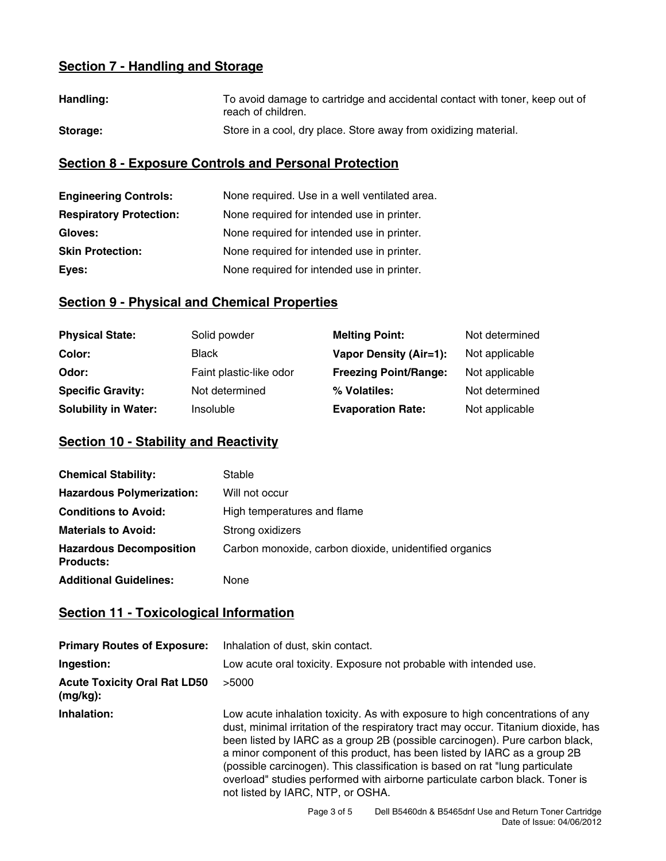# **Section 7 - Handling and Storage**

| Handling: | To avoid damage to cartridge and accidental contact with toner, keep out of<br>reach of children. |
|-----------|---------------------------------------------------------------------------------------------------|
| Storage:  | Store in a cool, dry place. Store away from oxidizing material.                                   |

# **Section 8 - Exposure Controls and Personal Protection**

| <b>Engineering Controls:</b>   | None required. Use in a well ventilated area. |
|--------------------------------|-----------------------------------------------|
| <b>Respiratory Protection:</b> | None required for intended use in printer.    |
| Gloves:                        | None required for intended use in printer.    |
| <b>Skin Protection:</b>        | None required for intended use in printer.    |
| Eyes:                          | None required for intended use in printer.    |

# **Section 9 - Physical and Chemical Properties**

| <b>Physical State:</b>      | Solid powder            | <b>Melting Point:</b>         | Not determined |
|-----------------------------|-------------------------|-------------------------------|----------------|
| Color:                      | <b>Black</b>            | <b>Vapor Density (Air=1):</b> | Not applicable |
| Odor:                       | Faint plastic-like odor | <b>Freezing Point/Range:</b>  | Not applicable |
| <b>Specific Gravity:</b>    | Not determined          | % Volatiles:                  | Not determined |
| <b>Solubility in Water:</b> | <b>Insoluble</b>        | <b>Evaporation Rate:</b>      | Not applicable |

# **Section 10 - Stability and Reactivity**

| <b>Chemical Stability:</b>                         | Stable                                                 |
|----------------------------------------------------|--------------------------------------------------------|
| <b>Hazardous Polymerization:</b>                   | Will not occur                                         |
| <b>Conditions to Avoid:</b>                        | High temperatures and flame                            |
| <b>Materials to Avoid:</b>                         | Strong oxidizers                                       |
| <b>Hazardous Decomposition</b><br><b>Products:</b> | Carbon monoxide, carbon dioxide, unidentified organics |
| <b>Additional Guidelines:</b>                      | None                                                   |

# **Section 11 - Toxicological Information**

| <b>Primary Routes of Exposure:</b>              | Inhalation of dust, skin contact.                                                                                                                                                                                                                                                                                                                                                                                                                                                                                                   |
|-------------------------------------------------|-------------------------------------------------------------------------------------------------------------------------------------------------------------------------------------------------------------------------------------------------------------------------------------------------------------------------------------------------------------------------------------------------------------------------------------------------------------------------------------------------------------------------------------|
| Ingestion:                                      | Low acute oral toxicity. Exposure not probable with intended use.                                                                                                                                                                                                                                                                                                                                                                                                                                                                   |
| <b>Acute Toxicity Oral Rat LD50</b><br>(mg/kg): | >5000                                                                                                                                                                                                                                                                                                                                                                                                                                                                                                                               |
| Inhalation:                                     | Low acute inhalation toxicity. As with exposure to high concentrations of any<br>dust, minimal irritation of the respiratory tract may occur. Titanium dioxide, has<br>been listed by IARC as a group 2B (possible carcinogen). Pure carbon black,<br>a minor component of this product, has been listed by IARC as a group 2B<br>(possible carcinogen). This classification is based on rat "lung particulate<br>overload" studies performed with airborne particulate carbon black. Toner is<br>not listed by IARC, NTP, or OSHA. |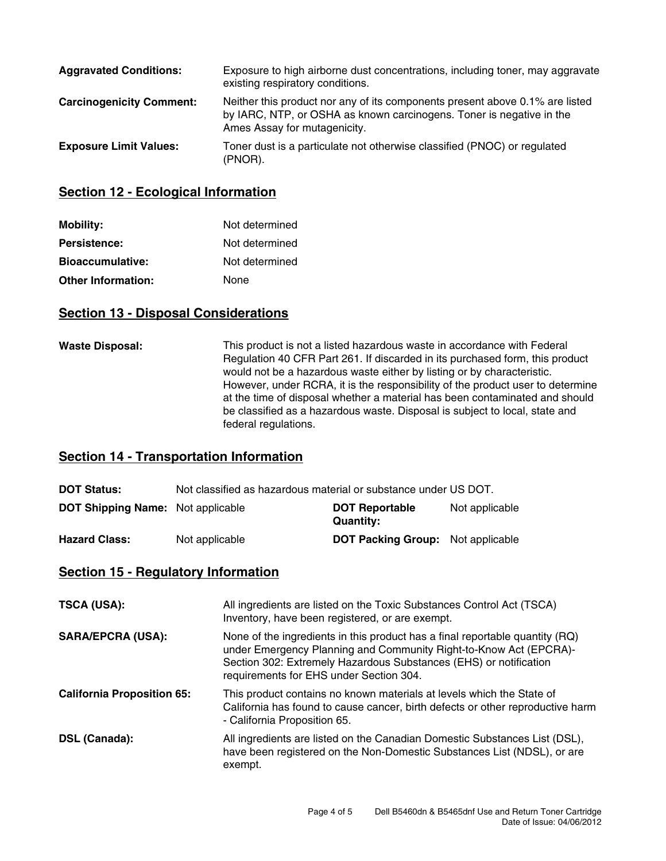| <b>Aggravated Conditions:</b>   | Exposure to high airborne dust concentrations, including toner, may aggravate<br>existing respiratory conditions.                                                                    |
|---------------------------------|--------------------------------------------------------------------------------------------------------------------------------------------------------------------------------------|
| <b>Carcinogenicity Comment:</b> | Neither this product nor any of its components present above 0.1% are listed<br>by IARC, NTP, or OSHA as known carcinogens. Toner is negative in the<br>Ames Assay for mutagenicity. |
| <b>Exposure Limit Values:</b>   | Toner dust is a particulate not otherwise classified (PNOC) or regulated<br>(PNOR).                                                                                                  |

#### **Section 12 - Ecological Information**

| <b>Mobility:</b>          | Not determined |
|---------------------------|----------------|
| <b>Persistence:</b>       | Not determined |
| <b>Bioaccumulative:</b>   | Not determined |
| <b>Other Information:</b> | None           |

#### **Section 13 - Disposal Considerations**

**Waste Disposal:** This product is not a listed hazardous waste in accordance with Federal Regulation 40 CFR Part 261. If discarded in its purchased form, this product would not be a hazardous waste either by listing or by characteristic. However, under RCRA, it is the responsibility of the product user to determine at the time of disposal whether a material has been contaminated and should be classified as a hazardous waste. Disposal is subject to local, state and federal regulations.

#### **Section 14 - Transportation Information**

| <b>DOT Status:</b>                       | Not classified as hazardous material or substance under US DOT. |                                          |                |
|------------------------------------------|-----------------------------------------------------------------|------------------------------------------|----------------|
| <b>DOT Shipping Name:</b> Not applicable |                                                                 | <b>DOT Reportable</b><br>Quantity:       | Not applicable |
| <b>Hazard Class:</b>                     | Not applicable                                                  | <b>DOT Packing Group:</b> Not applicable |                |

#### **Section 15 - Regulatory Information**

| <b>TSCA (USA):</b>                | All ingredients are listed on the Toxic Substances Control Act (TSCA)<br>Inventory, have been registered, or are exempt.                                                                                                                                          |
|-----------------------------------|-------------------------------------------------------------------------------------------------------------------------------------------------------------------------------------------------------------------------------------------------------------------|
| <b>SARA/EPCRA (USA):</b>          | None of the ingredients in this product has a final reportable quantity (RQ)<br>under Emergency Planning and Community Right-to-Know Act (EPCRA)-<br>Section 302: Extremely Hazardous Substances (EHS) or notification<br>requirements for EHS under Section 304. |
| <b>California Proposition 65:</b> | This product contains no known materials at levels which the State of<br>California has found to cause cancer, birth defects or other reproductive harm<br>- California Proposition 65.                                                                           |
| DSL (Canada):                     | All ingredients are listed on the Canadian Domestic Substances List (DSL),<br>have been registered on the Non-Domestic Substances List (NDSL), or are<br>exempt.                                                                                                  |